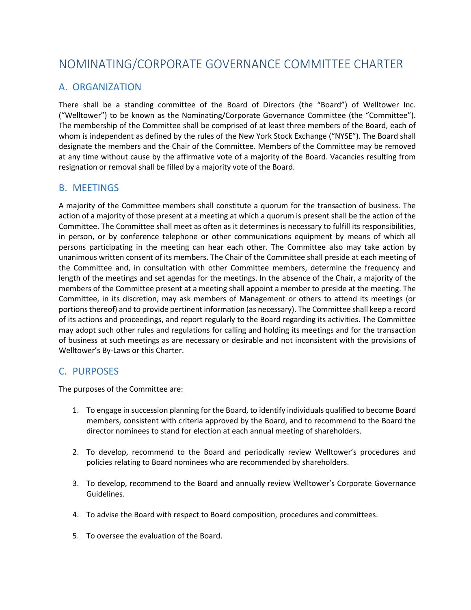# NOMINATING/CORPORATE GOVERNANCE COMMITTEE CHARTER

## A. ORGANIZATION

There shall be a standing committee of the Board of Directors (the "Board") of Welltower Inc. ("Welltower") to be known as the Nominating/Corporate Governance Committee (the "Committee"). The membership of the Committee shall be comprised of at least three members of the Board, each of whom is independent as defined by the rules of the New York Stock Exchange ("NYSE"). The Board shall designate the members and the Chair of the Committee. Members of the Committee may be removed at any time without cause by the affirmative vote of a majority of the Board. Vacancies resulting from resignation or removal shall be filled by a majority vote of the Board.

## B. MEETINGS

A majority of the Committee members shall constitute a quorum for the transaction of business. The action of a majority of those present at a meeting at which a quorum is present shall be the action of the Committee. The Committee shall meet as often as it determines is necessary to fulfill its responsibilities, in person, or by conference telephone or other communications equipment by means of which all persons participating in the meeting can hear each other. The Committee also may take action by unanimous written consent of its members. The Chair of the Committee shall preside at each meeting of the Committee and, in consultation with other Committee members, determine the frequency and length of the meetings and set agendas for the meetings. In the absence of the Chair, a majority of the members of the Committee present at a meeting shall appoint a member to preside at the meeting. The Committee, in its discretion, may ask members of Management or others to attend its meetings (or portions thereof) and to provide pertinent information (as necessary). The Committee shall keep a record of its actions and proceedings, and report regularly to the Board regarding its activities. The Committee may adopt such other rules and regulations for calling and holding its meetings and for the transaction of business at such meetings as are necessary or desirable and not inconsistent with the provisions of Welltower's By-Laws or this Charter.

## C. PURPOSES

The purposes of the Committee are:

- 1. To engage in succession planning for the Board, to identify individuals qualified to become Board members, consistent with criteria approved by the Board, and to recommend to the Board the director nominees to stand for election at each annual meeting of shareholders.
- 2. To develop, recommend to the Board and periodically review Welltower's procedures and policies relating to Board nominees who are recommended by shareholders.
- 3. To develop, recommend to the Board and annually review Welltower's Corporate Governance Guidelines.
- 4. To advise the Board with respect to Board composition, procedures and committees.
- 5. To oversee the evaluation of the Board.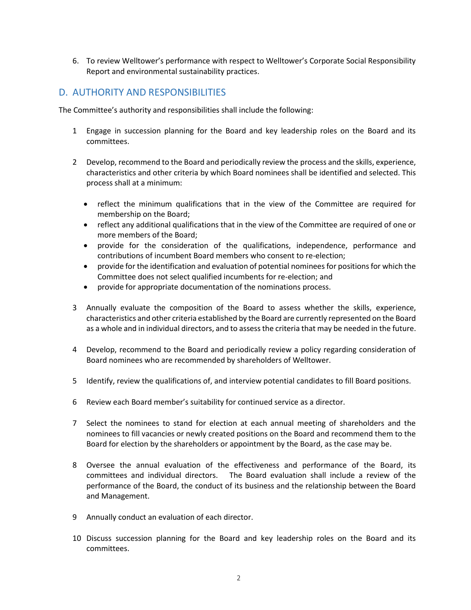6. To review Welltower's performance with respect to Welltower's Corporate Social Responsibility Report and environmental sustainability practices.

#### D. AUTHORITY AND RESPONSIBILITIES

The Committee's authority and responsibilities shall include the following:

- 1 Engage in succession planning for the Board and key leadership roles on the Board and its committees.
- 2 Develop, recommend to the Board and periodically review the process and the skills, experience, characteristics and other criteria by which Board nominees shall be identified and selected. This process shall at a minimum:
	- reflect the minimum qualifications that in the view of the Committee are required for membership on the Board;
	- reflect any additional qualifications that in the view of the Committee are required of one or more members of the Board;
	- provide for the consideration of the qualifications, independence, performance and contributions of incumbent Board members who consent to re-election;
	- provide for the identification and evaluation of potential nominees for positions for which the Committee does not select qualified incumbents for re-election; and
	- provide for appropriate documentation of the nominations process.
- 3 Annually evaluate the composition of the Board to assess whether the skills, experience, characteristics and other criteria established by the Board are currently represented on the Board as a whole and in individual directors, and to assess the criteria that may be needed in the future.
- 4 Develop, recommend to the Board and periodically review a policy regarding consideration of Board nominees who are recommended by shareholders of Welltower.
- 5 Identify, review the qualifications of, and interview potential candidates to fill Board positions.
- 6 Review each Board member's suitability for continued service as a director.
- 7 Select the nominees to stand for election at each annual meeting of shareholders and the nominees to fill vacancies or newly created positions on the Board and recommend them to the Board for election by the shareholders or appointment by the Board, as the case may be.
- 8 Oversee the annual evaluation of the effectiveness and performance of the Board, its committees and individual directors. The Board evaluation shall include a review of the performance of the Board, the conduct of its business and the relationship between the Board and Management.
- 9 Annually conduct an evaluation of each director.
- 10 Discuss succession planning for the Board and key leadership roles on the Board and its committees.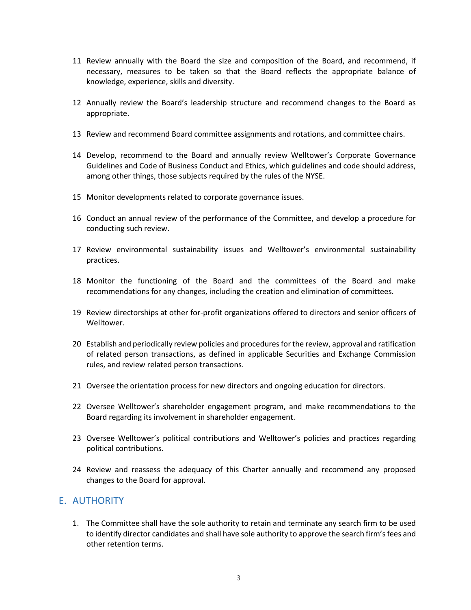- 11 Review annually with the Board the size and composition of the Board, and recommend, if necessary, measures to be taken so that the Board reflects the appropriate balance of knowledge, experience, skills and diversity.
- 12 Annually review the Board's leadership structure and recommend changes to the Board as appropriate.
- 13 Review and recommend Board committee assignments and rotations, and committee chairs.
- 14 Develop, recommend to the Board and annually review Welltower's Corporate Governance Guidelines and Code of Business Conduct and Ethics, which guidelines and code should address, among other things, those subjects required by the rules of the NYSE.
- 15 Monitor developments related to corporate governance issues.
- 16 Conduct an annual review of the performance of the Committee, and develop a procedure for conducting such review.
- 17 Review environmental sustainability issues and Welltower's environmental sustainability practices.
- 18 Monitor the functioning of the Board and the committees of the Board and make recommendations for any changes, including the creation and elimination of committees.
- 19 Review directorships at other for-profit organizations offered to directors and senior officers of Welltower.
- 20 Establish and periodically review policies and procedures for the review, approval and ratification of related person transactions, as defined in applicable Securities and Exchange Commission rules, and review related person transactions.
- 21 Oversee the orientation process for new directors and ongoing education for directors.
- 22 Oversee Welltower's shareholder engagement program, and make recommendations to the Board regarding its involvement in shareholder engagement.
- 23 Oversee Welltower's political contributions and Welltower's policies and practices regarding political contributions.
- 24 Review and reassess the adequacy of this Charter annually and recommend any proposed changes to the Board for approval.

#### E. AUTHORITY

1. The Committee shall have the sole authority to retain and terminate any search firm to be used to identify director candidates and shall have sole authority to approve the search firm's fees and other retention terms.